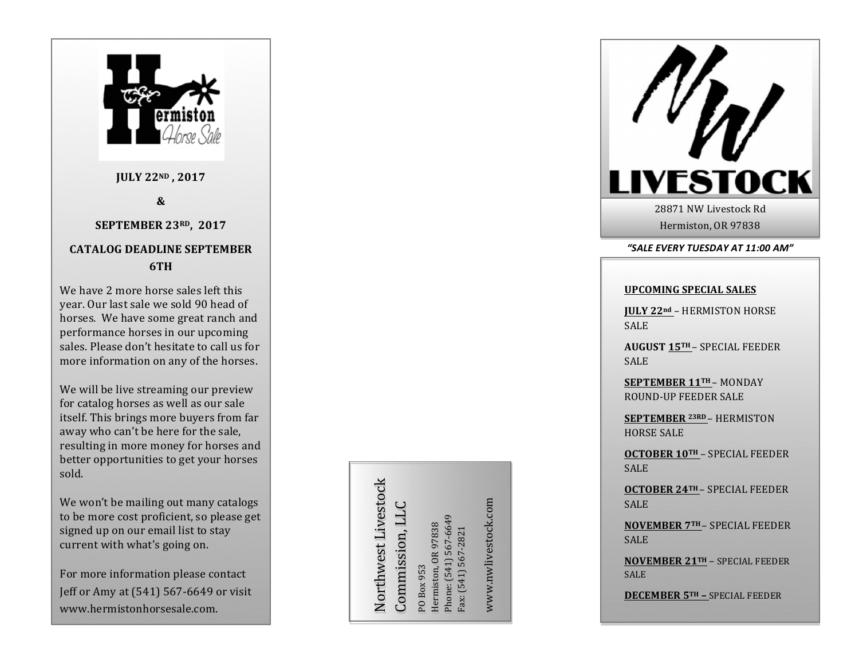

itself. This brings more buyers from far away who can't be here for the sale, resulting in more money for horses and better opportunities to get your horses sold.

We won't be mailing out many catalogs to be more cost proficient, so please get signed up on our email list to stay current with what's going on.

For more information please contact Jeff or Amy at (541) 567-6649 or visit www.hermistonhorsesale.com.

Northwest Livestock Northwest Livestock Commission, LLC Commission, LLC

Phone: (541) 567-6649 Phone: (541) 567-6649 Hermiston, OR 97838 Hermiston, OR 97838 ax: (541) 567-2821 Fax: (541) 567-2821 PO Box 953 PO Box 953

www.nwlivestock.com www.nwlivestock.com



Hermiston, OR 97838

#### *"SALE EVERY TUESDAY AT 11:00 AM"*

#### **UPCOMING SPECIAL SALES**

**JULY 22nd** – HERMISTON HORSE SALE 

**AUGUST 1 5TH**  – SPECIAL FEEDER SALE 

**SEPTEMBER 11TH**  – MONDAY ROUND-UP FEEDER SALE

**SEPTEMBER 23RD** – HERMISTON **HORSE SALE** 

**OCTOBER 1 0TH** – SPECIAL FEEDER SALE

**OCTOBER 24TH** – SPECIAL FEEDER SALE

**NOVEMBER 7TH**  – SPECIAL FEEDER SALE

**NOVEMBER 2 1TH** – SPECIAL FEEDER SALE

**DECEMBER 5TH –** SPECIAL FEEDER